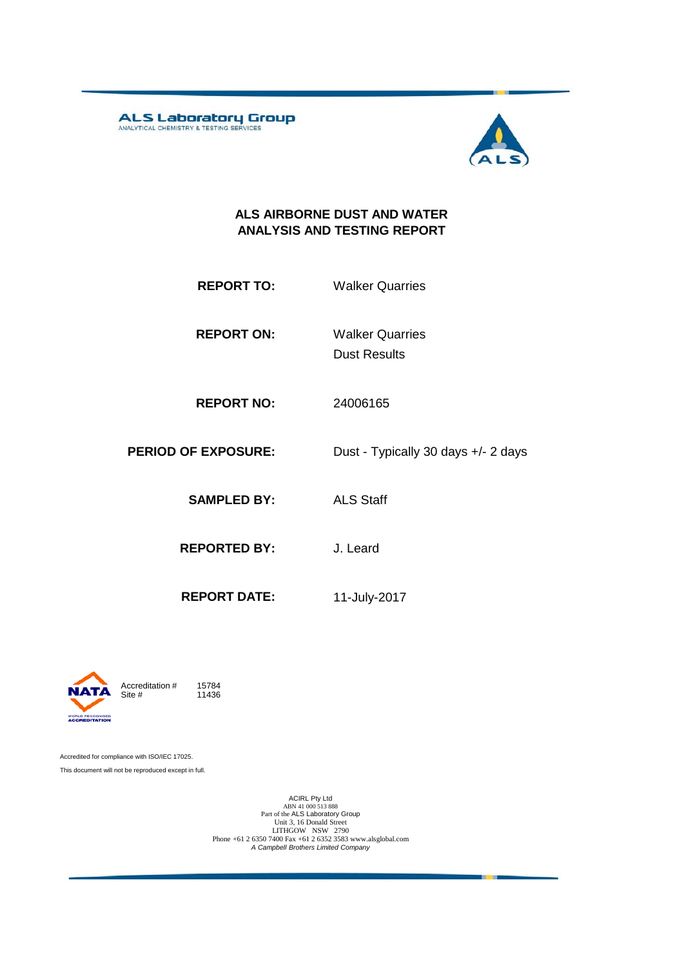**ALS Laboratory Group** 



#### **ALS AIRBORNE DUST AND WATER ANALYSIS AND TESTING REPORT**

| <b>REPORT TO:</b> | <b>Walker Quarries</b> |
|-------------------|------------------------|
|                   |                        |

**REPORT ON:** Dust Results Walker Quarries

**REPORT NO:** 24006165

**PERIOD OF EXPOSURE:** Dust - Typically 30 days +/- 2 days

**SAMPLED BY:** ALS Staff

**REPORTED BY:** J. Leard

**REPORT DATE:** 11-July-2017



11436

Accredited for compliance with ISO/IEC 17025. This document will not be reproduced except in full.

ACIRL Pty Ltd<br>
ABN 41 000 513 888<br>
Part of the ALS Laboratory Group<br>
Unit 3, 16 Donald Street<br>
LITHGOW NSW 2790<br>
Phone +61 2 6350 7400 Fax +61 2 6352 3583 www.alsglobal.com<br> *A Campbell Brothers Limited Company*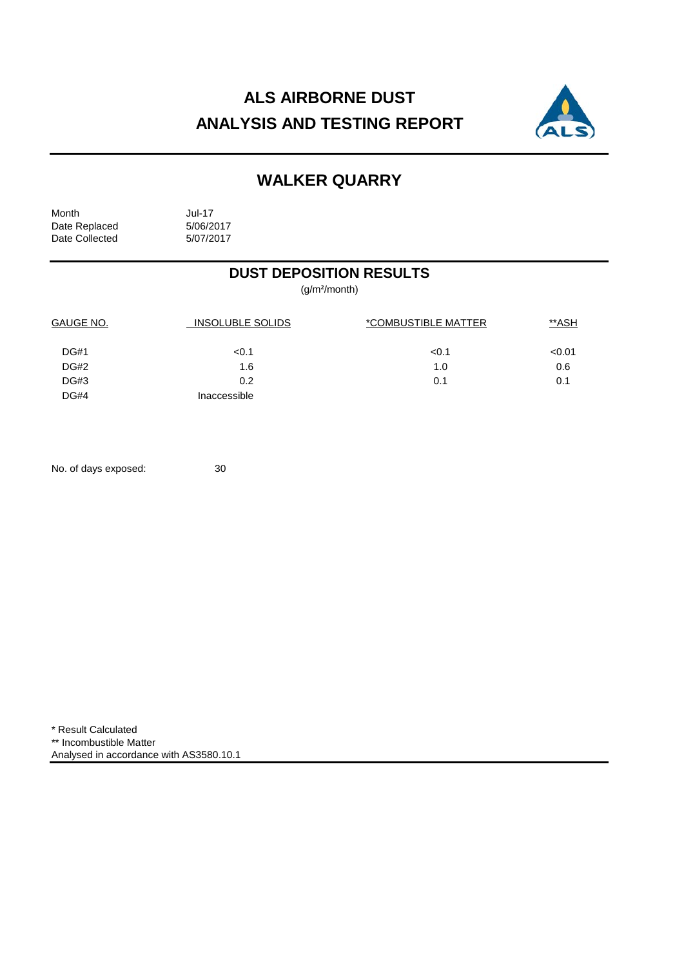# **ALS AIRBORNE DUST ANALYSIS AND TESTING REPORT**



## **WALKER QUARRY**

Month Jul-17<br>Date Replaced 5/06/2017 Date Replaced 5/06/2017<br>Date Collected 5/07/2017 Date Collected

### **DUST DEPOSITION RESULTS**

(g/m²/month)

| GAUGE NO.<br><b>INSOLUBLE SOLIDS</b> |              | *COMBUSTIBLE MATTER | **ASH  |  |
|--------------------------------------|--------------|---------------------|--------|--|
| <b>DG#1</b>                          | < 0.1        | < 0.1               | < 0.01 |  |
| DG#2                                 | 1.6          | 1.0                 | 0.6    |  |
| <b>DG#3</b>                          | 0.2          | 0.1                 | 0.1    |  |
| <b>DG#4</b>                          | Inaccessible |                     |        |  |

No. of days exposed: 30

\* Result Calculated \*\* Incombustible Matter Analysed in accordance with AS3580.10.1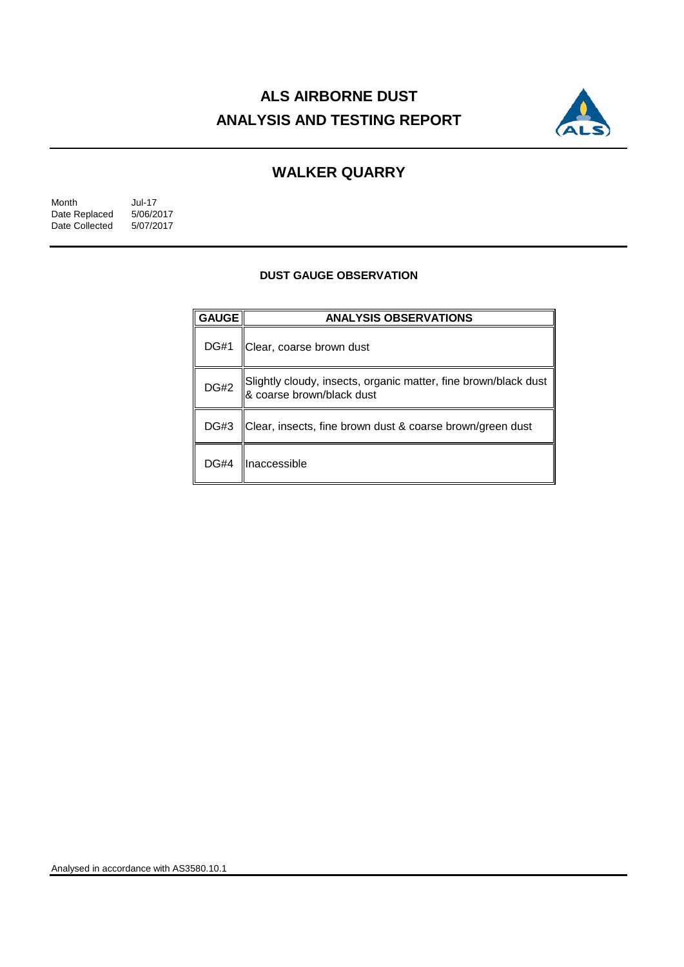# **ALS AIRBORNE DUST ANALYSIS AND TESTING REPORT**



### **WALKER QUARRY**

| Month          | Jul-17    |
|----------------|-----------|
| Date Replaced  | 5/06/2017 |
| Date Collected | 5/07/2017 |

#### **DUST GAUGE OBSERVATION**

| <b>GAUGE</b> | <b>ANALYSIS OBSERVATIONS</b>                                                                 |  |
|--------------|----------------------------------------------------------------------------------------------|--|
| <b>DG#1</b>  | Clear, coarse brown dust                                                                     |  |
| <b>DG#2</b>  | Slightly cloudy, insects, organic matter, fine brown/black dust<br>& coarse brown/black dust |  |
| DG#3         | Clear, insects, fine brown dust & coarse brown/green dust                                    |  |
| <b>DG#4</b>  | llnaccessible                                                                                |  |